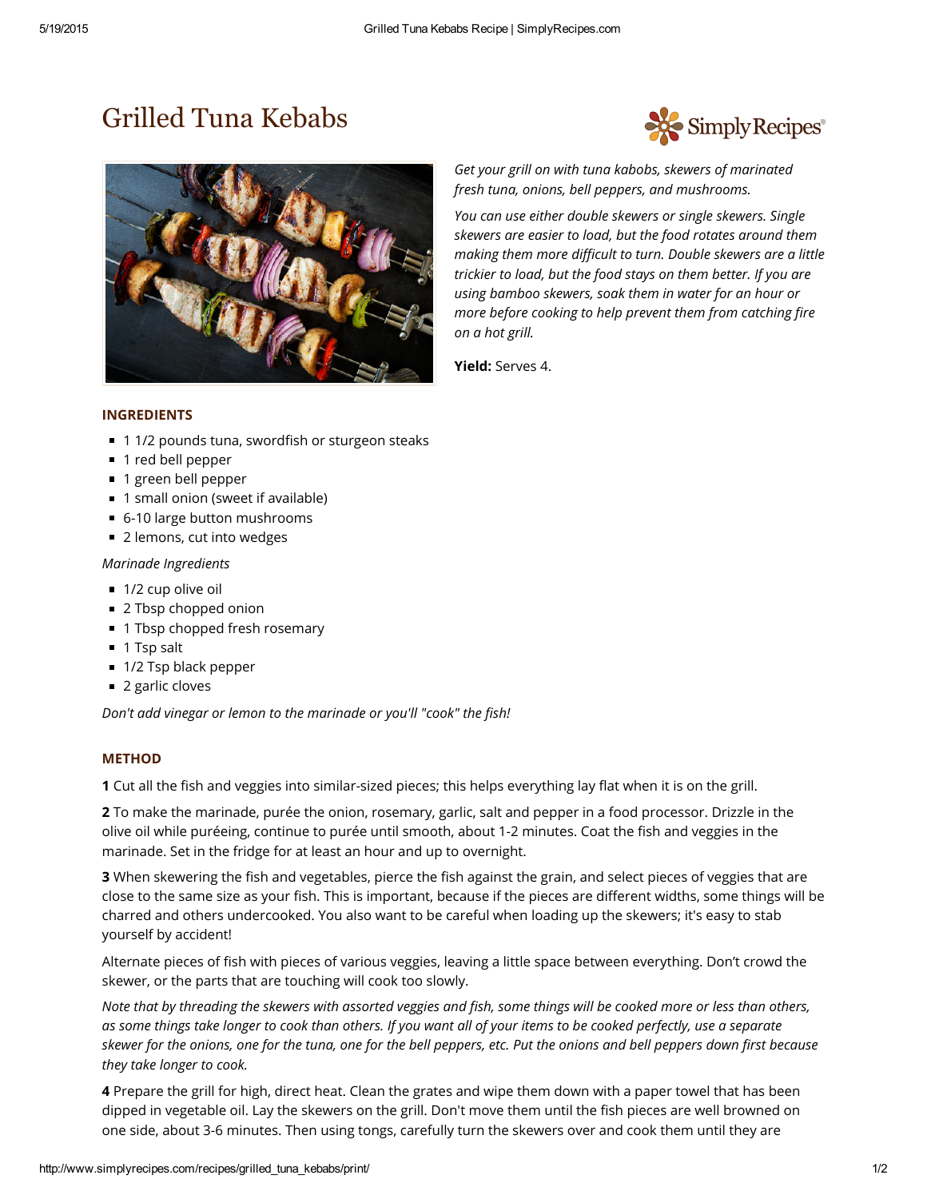## [Grilled](http://www.googleadservices.com/pagead/aclk?sa=L&ai=CI_O5kk1bVcnqIJSahATFx4HgD_WO4pEH7ZSm5a4BvbDXjXEQASDj4fUBYMnOm4fQo9gPoAHX3JD9A8gBAqgDAcgDwQSqBKcBT9BiAKpeczGyLGpRb3FA_cSvSGzktGs3ePf0HVmkk5j1Ynhqsl5uGS-bQeqhZY_K8Xl10luu5f0IHlngt0FkHCwuNfrOboAaEgUmQJl3PvAHYOVXHe7PIwcJWK3N_Aht2c3KtG2cagBxzoecv8qMRYmYJYxTPIOsO6RyzZtzOrQgHLzhdtQXTjWw_sIJ57X7WxkIL5GyM6zz-_6CEku_GL62iYtBFoSIBgGgBgKAB5Gj7wKoB6a-G9gHAQ&num=1&cid=5GioAFKAIaT4wJACxXrCUXzR&sig=AOD64_2l3V5RIVstx2vcEKzDocmhwgqPRw&client=ca-pub-5527714554151844&adurl=http://midtownloft.net/landing/) Tuna Kebabs



Simply Recipes

*Get your grill on with tuna kabobs, skewers of marinated fresh tuna, onions, bell peppers, and mushrooms.*

*You can use either double skewers or single skewers. Single skewers are easier to load, but the food rotates around them making them more difficult to turn. Double skewers are a little trickier to load, but the food stays on them better. If you are using bamboo skewers, soak them in water for an hour or more before cooking to help prevent them from catching fire on a hot grill.*

Yield: Serves 4.

## INGREDIENTS

- 1 1/2 pounds tuna, swordfish or sturgeon steaks
- 1 red bell pepper
- 1 green bell pepper
- 1 small onion (sweet if available)
- 6-10 large button mushrooms
- 2 lemons, cut into wedges

## *Marinade Ingredients*

- 1/2 cup olive oil
- 2 Tbsp chopped onion
- 1 Tbsp chopped fresh rosemary
- 1 Tsp salt
- 1/2 Tsp black pepper
- 2 garlic cloves

*Don't add vinegar or lemon to the marinade or you'll "cook" the fish!*

## **METHOD**

1 Cut all the fish and veggies into similar-sized pieces; this helps everything lay flat when it is on the grill.

2 To make the marinade, purée the onion, rosemary, garlic, salt and pepper in a food processor. Drizzle in the olive oil while puréeing, continue to purée until smooth, about 1-2 minutes. Coat the fish and veggies in the marinade. Set in the fridge for at least an hour and up to overnight.

**3** When skewering the fish and vegetables, pierce the fish against the grain, and select pieces of veggies that are close to the same size as your fish. This is important, because if the pieces are different widths, some things will be charred and others undercooked. You also want to be careful when loading up the skewers; it's easy to stab yourself by accident!

Alternate pieces of fish with pieces of various veggies, leaving a little space between everything. Don't crowd the skewer, or the parts that are touching will cook too slowly.

Note that by threading the skewers with assorted veggies and fish, some things will be cooked more or less than others, as some things take longer to cook than others. If you want all of your items to be cooked perfectly, use a separate skewer for the onions, one for the tuna, one for the bell peppers, etc. Put the onions and bell peppers down first because *they take longer to cook.*

4 Prepare the grill for high, direct heat. Clean the grates and wipe them down with a paper towel that has been dipped in vegetable oil. Lay the skewers on the grill. Don't move them until the fish pieces are well browned on one side, about 3-6 minutes. Then using tongs, carefully turn the skewers over and cook them until they are